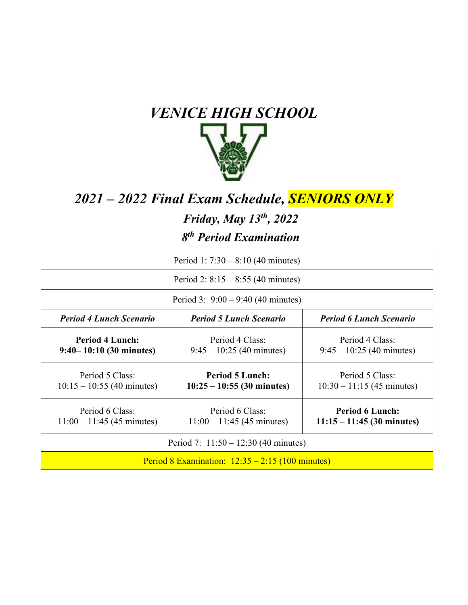

## *2021 – 2022 Final Exam Schedule, SENIORS ONLY*

#### *Friday, May 13th , 2022*

#### *8th Period Examination*

| Period 1: $7:30 - 8:10$ (40 minutes)                  |                                                        |                                                        |
|-------------------------------------------------------|--------------------------------------------------------|--------------------------------------------------------|
| Period 2: $8:15 - 8:55$ (40 minutes)                  |                                                        |                                                        |
| Period 3: $9:00 - 9:40$ (40 minutes)                  |                                                        |                                                        |
| <b>Period 4 Lunch Scenario</b>                        | <b>Period 5 Lunch Scenario</b>                         | <b>Period 6 Lunch Scenario</b>                         |
| <b>Period 4 Lunch:</b><br>$9:40 - 10:10$ (30 minutes) | Period 4 Class:<br>$9:45 - 10:25$ (40 minutes)         | Period 4 Class:<br>$9:45 - 10:25$ (40 minutes)         |
| Period 5 Class:<br>$10:15 - 10:55$ (40 minutes)       | <b>Period 5 Lunch:</b><br>$10:25 - 10:55$ (30 minutes) | Period 5 Class:<br>$10:30 - 11:15$ (45 minutes)        |
| Period 6 Class:<br>$11:00 - 11:45$ (45 minutes)       | Period 6 Class:<br>$11:00 - 11:45$ (45 minutes)        | <b>Period 6 Lunch:</b><br>$11:15 - 11:45$ (30 minutes) |
| Period 7: $11:50 - 12:30$ (40 minutes)                |                                                        |                                                        |
| Period 8 Examination: $12:35 - 2:15$ (100 minutes)    |                                                        |                                                        |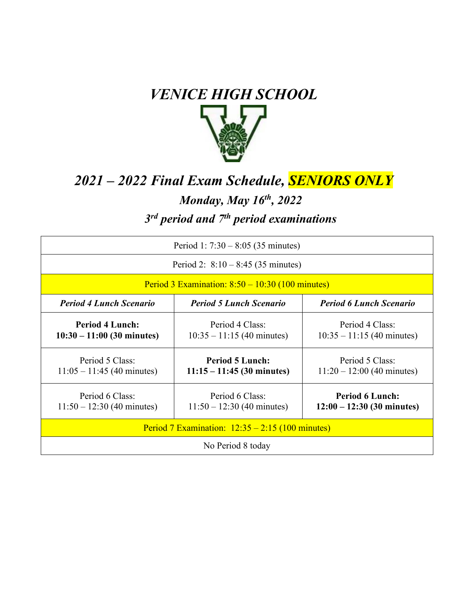

# *2021 – 2022 Final Exam Schedule, SENIORS ONLY*

#### *Monday, May 16th, 2022*

## *3rd period and 7th period examinations*

| Period 1: $7:30 - 8:05$ (35 minutes)                   |                                                        |                                                        |
|--------------------------------------------------------|--------------------------------------------------------|--------------------------------------------------------|
| Period 2: $8:10 - 8:45$ (35 minutes)                   |                                                        |                                                        |
| Period 3 Examination: $8:50 - 10:30$ (100 minutes)     |                                                        |                                                        |
| <b>Period 4 Lunch Scenario</b>                         | <b>Period 5 Lunch Scenario</b>                         | <b>Period 6 Lunch Scenario</b>                         |
| <b>Period 4 Lunch:</b><br>$10:30 - 11:00$ (30 minutes) | Period 4 Class:<br>$10:35 - 11:15$ (40 minutes)        | Period 4 Class:<br>$10:35 - 11:15$ (40 minutes)        |
| Period 5 Class:<br>$11:05 - 11:45$ (40 minutes)        | <b>Period 5 Lunch:</b><br>$11:15 - 11:45$ (30 minutes) | Period 5 Class:<br>$11:20 - 12:00$ (40 minutes)        |
| Period 6 Class:<br>$11:50 - 12:30$ (40 minutes)        | Period 6 Class:<br>$11:50 - 12:30$ (40 minutes)        | <b>Period 6 Lunch:</b><br>$12:00 - 12:30$ (30 minutes) |
| Period 7 Examination: $12:35 - 2:15$ (100 minutes)     |                                                        |                                                        |
| No Period 8 today                                      |                                                        |                                                        |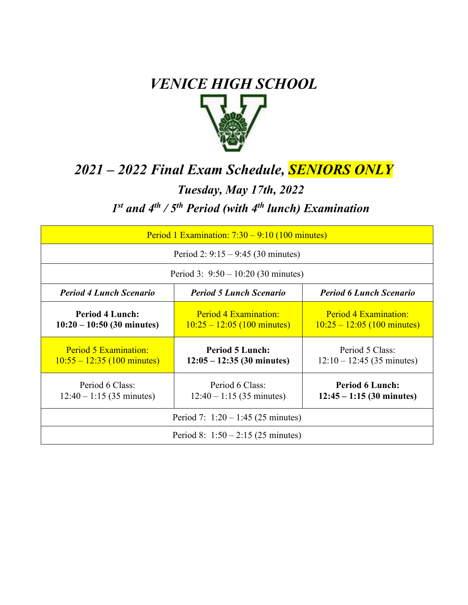

# *2021 – 2022 Final Exam Schedule, SENIORS ONLY Tuesday, May 17th, 2022 1st and 4th / 5th Period (with 4th lunch) Examination*

| Period 1 Examination: $7:30 - 9:10$ (100 minutes)                                                  |                                                               |                                                        |
|----------------------------------------------------------------------------------------------------|---------------------------------------------------------------|--------------------------------------------------------|
| Period 2: $9:15 - 9:45$ (30 minutes)                                                               |                                                               |                                                        |
| Period 3: $9:50 - 10:20$ (30 minutes)                                                              |                                                               |                                                        |
| <b>Period 4 Lunch Scenario</b><br><b>Period 6 Lunch Scenario</b><br><b>Period 5 Lunch Scenario</b> |                                                               |                                                        |
| <b>Period 4 Lunch:</b><br>$10:20 - 10:50$ (30 minutes)                                             | Period 4 Examination:<br>$10:25 - 12:05$ (100 minutes)        | Period 4 Examination:<br>$10:25 - 12:05$ (100 minutes) |
| Period 5 Examination:<br>$10:55 - 12:35$ (100 minutes)                                             | <b>Period 5 Lunch:</b><br>$12:05 - 12:35(30 \text{ minutes})$ | Period 5 Class:<br>$12:10 - 12:45$ (35 minutes)        |
| Period 6 Class:<br>$12:40 - 1:15$ (35 minutes)                                                     | Period 6 Class:<br>$12:40 - 1:15$ (35 minutes)                | <b>Period 6 Lunch:</b><br>$12:45 - 1:15$ (30 minutes)  |
| Period 7: $1:20 - 1:45$ (25 minutes)                                                               |                                                               |                                                        |
| Period 8: $1:50 - 2:15$ (25 minutes)                                                               |                                                               |                                                        |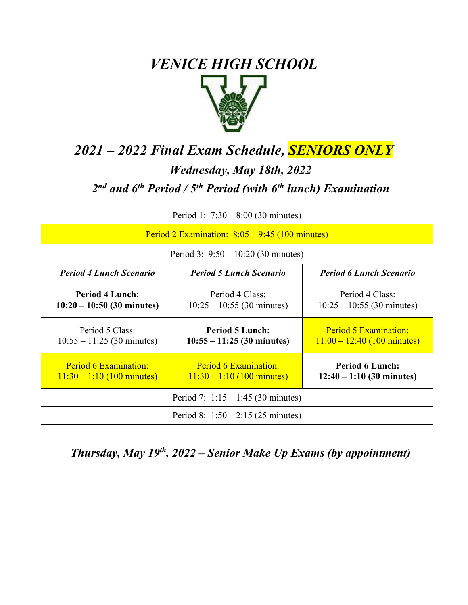

# *2021 – 2022 Final Exam Schedule, SENIORS ONLY*

#### *Wednesday, May 18th, 2022*

## *2nd and 6th Period / 5th Period (with 6th lunch) Examination*

| Period 1: $7:30 - 8:00$ (30 minutes)                   |                                                        |                                                        |
|--------------------------------------------------------|--------------------------------------------------------|--------------------------------------------------------|
| Period 2 Examination: $8:05 - 9:45$ (100 minutes)      |                                                        |                                                        |
| Period 3: $9:50 - 10:20$ (30 minutes)                  |                                                        |                                                        |
| <b>Period 4 Lunch Scenario</b>                         | <b>Period 5 Lunch Scenario</b>                         | <b>Period 6 Lunch Scenario</b>                         |
| <b>Period 4 Lunch:</b><br>$10:20 - 10:50$ (30 minutes) | Period 4 Class:<br>$10:25 - 10:55$ (30 minutes)        | Period 4 Class:<br>$10:25 - 10:55$ (30 minutes)        |
| Period 5 Class:<br>$10:55 - 11:25$ (30 minutes)        | <b>Period 5 Lunch:</b><br>$10:55 - 11:25$ (30 minutes) | Period 5 Examination:<br>$11:00 - 12:40$ (100 minutes) |
| Period 6 Examination:<br>$11:30 - 1:10$ (100 minutes)  | Period 6 Examination:<br>$11:30 - 1:10$ (100 minutes)  | <b>Period 6 Lunch:</b><br>$12:40 - 1:10$ (30 minutes)  |
| Period 7: $1:15 - 1:45$ (30 minutes)                   |                                                        |                                                        |
| Period 8: $1:50 - 2:15$ (25 minutes)                   |                                                        |                                                        |

#### *Thursday, May 19th , 2022 – Senior Make Up Exams (by appointment)*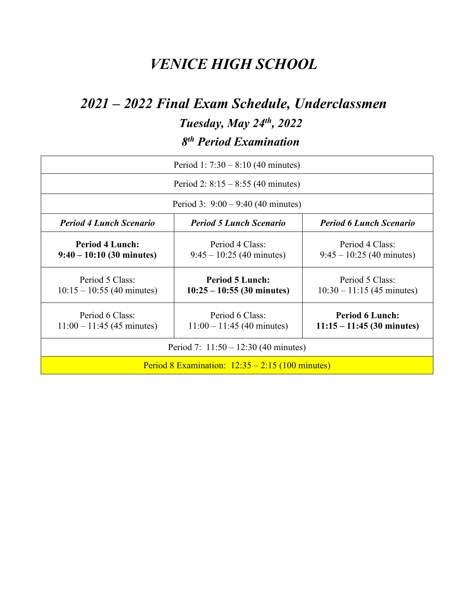# *2021 – 2022 Final Exam Schedule, Underclassmen*

*Tuesday, May 24th, 2022*

*8th Period Examination*

| Period 1: $7:30 - 8:10$ (40 minutes)                  |                                                        |                                                        |
|-------------------------------------------------------|--------------------------------------------------------|--------------------------------------------------------|
| Period 2: $8:15 - 8:55$ (40 minutes)                  |                                                        |                                                        |
| Period 3: $9:00 - 9:40$ (40 minutes)                  |                                                        |                                                        |
| <b>Period 4 Lunch Scenario</b>                        | <b>Period 5 Lunch Scenario</b>                         | <b>Period 6 Lunch Scenario</b>                         |
| <b>Period 4 Lunch:</b><br>$9:40 - 10:10$ (30 minutes) | Period 4 Class:<br>$9:45 - 10:25$ (40 minutes)         | Period 4 Class:<br>$9:45 - 10:25$ (40 minutes)         |
| Period 5 Class:<br>$10:15 - 10:55$ (40 minutes)       | <b>Period 5 Lunch:</b><br>$10:25 - 10:55$ (30 minutes) | Period 5 Class:<br>$10:30 - 11:15$ (45 minutes)        |
| Period 6 Class:<br>$11:00 - 11:45$ (45 minutes)       | Period 6 Class:<br>$11:00 - 11:45$ (40 minutes)        | <b>Period 6 Lunch:</b><br>$11:15 - 11:45$ (30 minutes) |
| Period 7: $11:50 - 12:30$ (40 minutes)                |                                                        |                                                        |
| Period 8 Examination: $12:35 - 2:15$ (100 minutes)    |                                                        |                                                        |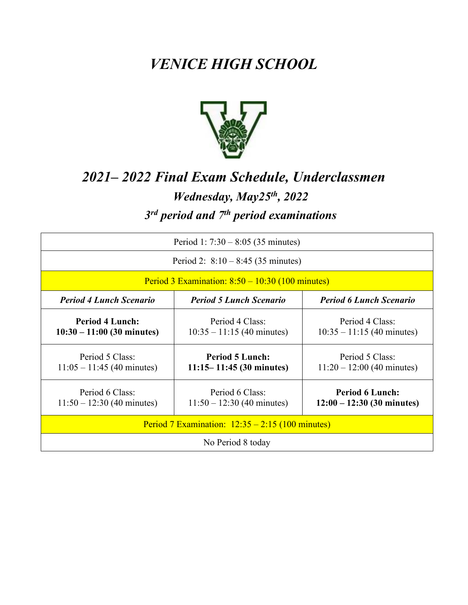

# *2021– 2022 Final Exam Schedule, Underclassmen Wednesday, May25th , 2022 3rd period and 7th period examinations*

| Period 1: $7:30 - 8:05$ (35 minutes)                   |                                                        |                                                        |
|--------------------------------------------------------|--------------------------------------------------------|--------------------------------------------------------|
| Period 2: $8:10 - 8:45$ (35 minutes)                   |                                                        |                                                        |
| Period 3 Examination: $8:50 - 10:30$ (100 minutes)     |                                                        |                                                        |
| <b>Period 4 Lunch Scenario</b>                         | <b>Period 5 Lunch Scenario</b>                         | <b>Period 6 Lunch Scenario</b>                         |
| <b>Period 4 Lunch:</b><br>$10:30 - 11:00$ (30 minutes) | Period 4 Class:<br>$10:35 - 11:15$ (40 minutes)        | Period 4 Class:<br>$10:35 - 11:15$ (40 minutes)        |
| Period 5 Class:<br>$11:05 - 11:45$ (40 minutes)        | <b>Period 5 Lunch:</b><br>$11:15 - 11:45$ (30 minutes) | Period 5 Class:<br>$11:20 - 12:00$ (40 minutes)        |
| Period 6 Class:<br>$11:50 - 12:30$ (40 minutes)        | Period 6 Class:<br>$11:50 - 12:30$ (40 minutes)        | <b>Period 6 Lunch:</b><br>$12:00 - 12:30$ (30 minutes) |
| Period 7 Examination: $12:35 - 2:15$ (100 minutes)     |                                                        |                                                        |
| No Period 8 today                                      |                                                        |                                                        |